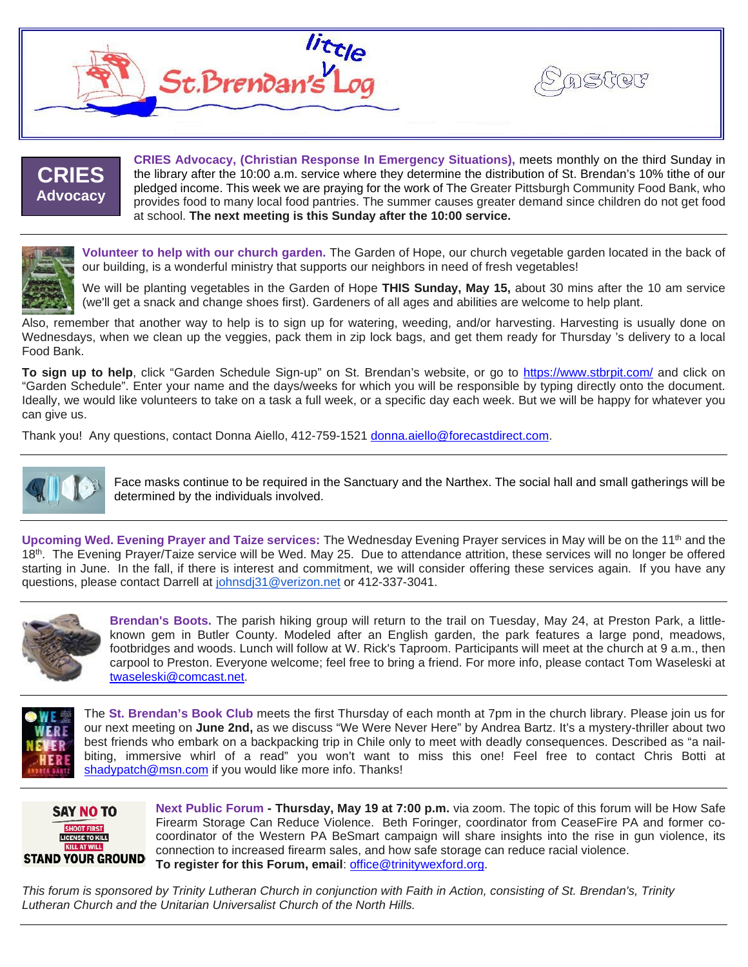

### **CRIES Advocacy**

**CRIES Advocacy, (Christian Response In Emergency Situations),** meets monthly on the third Sunday in the library after the 10:00 a.m. service where they determine the distribution of St. Brendan's 10% tithe of our pledged income. This week we are praying for the work of The Greater Pittsburgh Community Food Bank, who provides food to many local food pantries. The summer causes greater demand since children do not get food at school. **The next meeting is this Sunday after the 10:00 service.**

**ASHIF** 



**Volunteer to help with our church garden.** The Garden of Hope, our church vegetable garden located in the back of our building, is a wonderful ministry that supports our neighbors in need of fresh vegetables!

We will be planting vegetables in the Garden of Hope **THIS Sunday, May 15,** about 30 mins after the 10 am service (we'll get a snack and change shoes first). Gardeners of all ages and abilities are welcome to help plant.

Also, remember that another way to help is to sign up for watering, weeding, and/or harvesting. Harvesting is usually done on Wednesdays, when we clean up the veggies, pack them in zip lock bags, and get them ready for Thursday 's delivery to a local Food Bank.

**To sign up to help**, click "Garden Schedule Sign-up" on St. Brendan's website, or go to<https://www.stbrpit.com/> and click on "Garden Schedule". Enter your name and the days/weeks for which you will be responsible by typing directly onto the document. Ideally, we would like volunteers to take on a task a full week, or a specific day each week. But we will be happy for whatever you can give us.

Thank you! Any questions, contact Donna Aiello, 412-759-1521 [donna.aiello@forecastdirect.com.](mailto:donna.aiello@forecastdirect.com)



Face masks continue to be required in the Sanctuary and the Narthex. The social hall and small gatherings will be determined by the individuals involved.

**Upcoming Wed. Evening Prayer and Taize services:** The Wednesday Evening Prayer services in May will be on the 11th and the 18th. The Evening Prayer/Taize service will be Wed. May 25. Due to attendance attrition, these services will no longer be offered starting in June. In the fall, if there is interest and commitment, we will consider offering these services again. If you have any questions, please contact Darrell at [johnsdj31@verizon.net](mailto:johnsdj31@verizon.net) or 412-337-3041.



**Brendan's Boots.** The parish hiking group will return to the trail on Tuesday, May 24, at Preston Park, a littleknown gem in Butler County. Modeled after an English garden, the park features a large pond, meadows, footbridges and woods. Lunch will follow at W. Rick's Taproom. Participants will meet at the church at 9 a.m., then carpool to Preston. Everyone welcome; feel free to bring a friend. For more info, please contact Tom Waseleski at [twaseleski@comcast.net.](mailto:twaseleski@comcast.net)



The **St. Brendan's Book Club** meets the first Thursday of each month at 7pm in the church library. Please join us for our next meeting on **June 2nd,** as we discuss "We Were Never Here" by Andrea Bartz. It's a mystery-thriller about two best friends who embark on a backpacking trip in Chile only to meet with deadly consequences. Described as "a nailbiting, immersive whirl of a read" you won't want to miss this one! Feel free to contact Chris Botti at [shadypatch@msn.com](mailto:shadypatch@msn.com) if you would like more info. Thanks!



**Next Public Forum - Thursday, May 19 at 7:00 p.m.** via zoom. The topic of this forum will be How Safe Firearm Storage Can Reduce Violence. Beth Foringer, coordinator from CeaseFire PA and former cocoordinator of the Western PA BeSmart campaign will share insights into the rise in gun violence, its connection to increased firearm sales, and how safe storage can reduce racial violence. **To register for this Forum, email**: [office@trinitywexford.org.](mailto:office@trinitywexford.org)

*This forum is sponsored by Trinity Lutheran Church in conjunction with Faith in Action, consisting of St. Brendan's, Trinity Lutheran Church and the Unitarian Universalist Church of the North Hills.*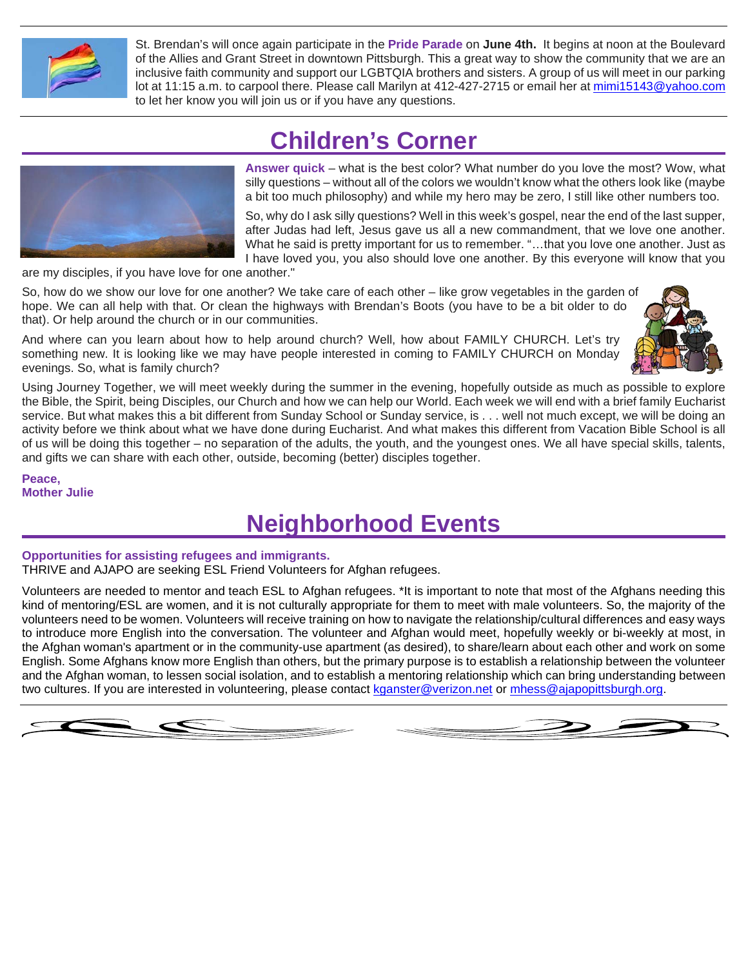

St. Brendan's will once again participate in the **Pride Parade** on **June 4th.** It begins at noon at the Boulevard of the Allies and Grant Street in downtown Pittsburgh. This a great way to show the community that we are an inclusive faith community and support our LGBTQIA brothers and sisters. A group of us will meet in our parking lot at 11:15 a.m. to carpool there. Please call Marilyn at 412-427-2715 or email her at [mimi15143@yahoo.com](mailto:mimi15143@yahoo.com) to let her know you will join us or if you have any questions.

## **Children's Corner**



**Answer quick** – what is the best color? What number do you love the most? Wow, what silly questions – without all of the colors we wouldn't know what the others look like (maybe a bit too much philosophy) and while my hero may be zero, I still like other numbers too.

So, why do I ask silly questions? Well in this week's gospel, near the end of the last supper, after Judas had left, Jesus gave us all a new commandment, that we love one another. What he said is pretty important for us to remember. "…that you love one another. Just as I have loved you, you also should love one another. By this everyone will know that you

are my disciples, if you have love for one another."

So, how do we show our love for one another? We take care of each other – like grow vegetables in the garden of hope. We can all help with that. Or clean the highways with Brendan's Boots (you have to be a bit older to do that). Or help around the church or in our communities.

And where can you learn about how to help around church? Well, how about FAMILY CHURCH. Let's try something new. It is looking like we may have people interested in coming to FAMILY CHURCH on Monday evenings. So, what is family church?



Using Journey Together, we will meet weekly during the summer in the evening, hopefully outside as much as possible to explore the Bible, the Spirit, being Disciples, our Church and how we can help our World. Each week we will end with a brief family Eucharist service. But what makes this a bit different from Sunday School or Sunday service, is . . . well not much except, we will be doing an activity before we think about what we have done during Eucharist. And what makes this different from Vacation Bible School is all of us will be doing this together – no separation of the adults, the youth, and the youngest ones. We all have special skills, talents, and gifts we can share with each other, outside, becoming (better) disciples together.

**Peace, Mother Julie**

### **Neighborhood Events**

#### **Opportunities for assisting refugees and immigrants.**

THRIVE and AJAPO are seeking ESL Friend Volunteers for Afghan refugees.

Volunteers are needed to mentor and teach ESL to Afghan refugees. \*It is important to note that most of the Afghans needing this kind of mentoring/ESL are women, and it is not culturally appropriate for them to meet with male volunteers. So, the majority of the volunteers need to be women. Volunteers will receive training on how to navigate the relationship/cultural differences and easy ways to introduce more English into the conversation. The volunteer and Afghan would meet, hopefully weekly or bi-weekly at most, in the Afghan woman's apartment or in the community-use apartment (as desired), to share/learn about each other and work on some English. Some Afghans know more English than others, but the primary purpose is to establish a relationship between the volunteer and the Afghan woman, to lessen social isolation, and to establish a mentoring relationship which can bring understanding between two cultures. If you are interested in volunteering, please contact kganster@verizon.net or [mhess@ajapopittsburgh.org.](mailto:mhess@ajapopittsburgh.org)



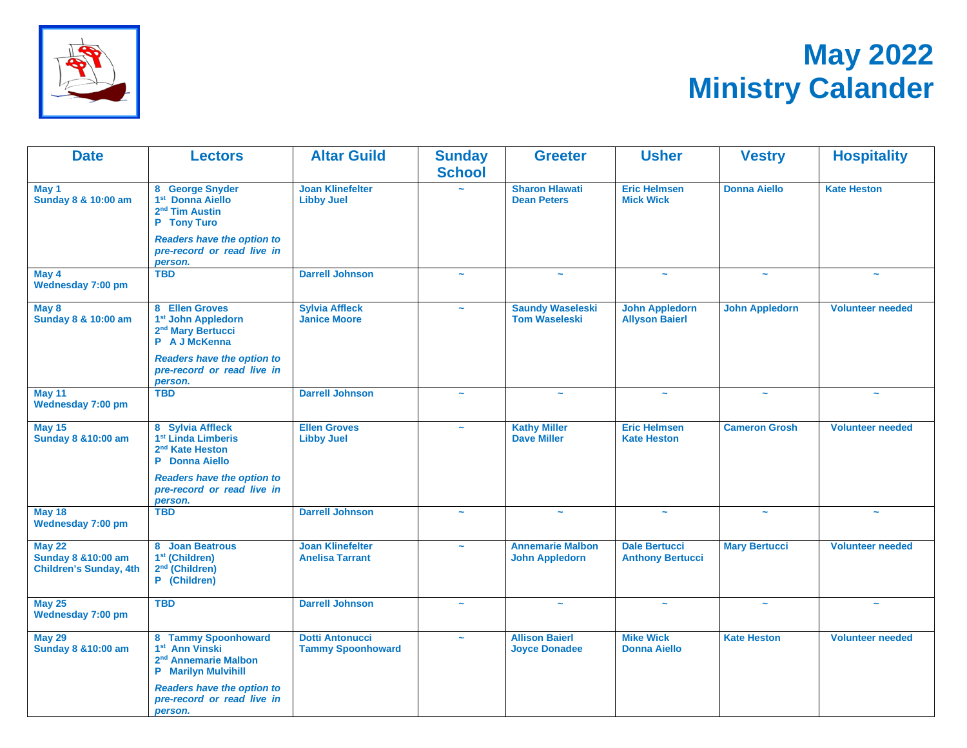

# **May 2022 Ministry Calander**

| <b>Date</b>                                                           | <b>Lectors</b>                                                                                                                    | <b>Altar Guild</b>                                 | <b>Sunday</b><br><b>School</b> | <b>Greeter</b>                                   | <b>Usher</b>                                    | <b>Vestry</b>         | <b>Hospitality</b>      |
|-----------------------------------------------------------------------|-----------------------------------------------------------------------------------------------------------------------------------|----------------------------------------------------|--------------------------------|--------------------------------------------------|-------------------------------------------------|-----------------------|-------------------------|
| May 1<br>Sunday 8 & 10:00 am                                          | 8 George Snyder<br>1 <sup>st</sup> Donna Aiello<br>2 <sup>nd</sup> Tim Austin<br>P Tony Turo<br><b>Readers have the option to</b> | <b>Joan Klinefelter</b><br><b>Libby Juel</b>       |                                | <b>Sharon Hlawati</b><br><b>Dean Peters</b>      | <b>Eric Helmsen</b><br><b>Mick Wick</b>         | <b>Donna Aiello</b>   | <b>Kate Heston</b>      |
|                                                                       | pre-record or read live in<br>person.                                                                                             |                                                    |                                |                                                  |                                                 |                       |                         |
| May 4<br>Wednesday 7:00 pm                                            | <b>TBD</b>                                                                                                                        | <b>Darrell Johnson</b>                             | $\sim$                         |                                                  | $\sim$                                          | $\sim$                |                         |
| May 8<br>Sunday 8 & 10:00 am                                          | 8 Ellen Groves<br>1 <sup>st</sup> John Appledorn<br>2 <sup>nd</sup> Mary Bertucci<br>P A J McKenna                                | <b>Sylvia Affleck</b><br><b>Janice Moore</b>       | $\tilde{\phantom{a}}$          | <b>Saundy Waseleski</b><br><b>Tom Waseleski</b>  | <b>John Appledorn</b><br><b>Allyson Baierl</b>  | <b>John Appledorn</b> | <b>Volunteer needed</b> |
|                                                                       | <b>Readers have the option to</b><br>pre-record or read live in<br>person.                                                        |                                                    |                                |                                                  |                                                 |                       |                         |
| May 11<br>Wednesday 7:00 pm                                           | <b>TBD</b>                                                                                                                        | <b>Darrell Johnson</b>                             | $\sim$                         | $\tilde{\phantom{a}}$                            | $\sim$                                          | $\sim$                | $\tilde{\phantom{a}}$   |
| <b>May 15</b><br><b>Sunday 8 &amp; 10:00 am</b>                       | 8 Sylvia Affleck<br>1 <sup>st</sup> Linda Limberis<br>2 <sup>nd</sup> Kate Heston<br><b>P</b> Donna Aiello                        | <b>Ellen Groves</b><br><b>Libby Juel</b>           | $\sim$                         | <b>Kathy Miller</b><br><b>Dave Miller</b>        | <b>Eric Helmsen</b><br><b>Kate Heston</b>       | <b>Cameron Grosh</b>  | <b>Volunteer needed</b> |
|                                                                       | <b>Readers have the option to</b><br>pre-record or read live in<br>person.                                                        |                                                    |                                |                                                  |                                                 |                       |                         |
| <b>May 18</b><br><b>Wednesday 7:00 pm</b>                             | <b>TBD</b>                                                                                                                        | <b>Darrell Johnson</b>                             | $\sim$                         | $\tilde{\phantom{a}}$                            | $\tilde{\phantom{a}}$                           | $\tilde{\phantom{a}}$ | $\tilde{\phantom{a}}$   |
| <b>May 22</b><br>Sunday 8 & 10:00 am<br><b>Children's Sunday, 4th</b> | 8 Joan Beatrous<br>1 <sup>st</sup> (Children)<br>2 <sup>nd</sup> (Children)<br>P (Children)                                       | <b>Joan Klinefelter</b><br><b>Anelisa Tarrant</b>  | $\tilde{\phantom{a}}$          | <b>Annemarie Malbon</b><br><b>John Appledorn</b> | <b>Dale Bertucci</b><br><b>Anthony Bertucci</b> | <b>Mary Bertucci</b>  | <b>Volunteer needed</b> |
| <b>May 25</b><br>Wednesday 7:00 pm                                    | <b>TBD</b>                                                                                                                        | <b>Darrell Johnson</b>                             | $\sim$                         | $\tilde{\phantom{a}}$                            | $\tilde{\phantom{a}}$                           | $\tilde{\phantom{a}}$ |                         |
| <b>May 29</b><br><b>Sunday 8 &amp; 10:00 am</b>                       | 8 Tammy Spoonhoward<br>1 <sup>st</sup> Ann Vinski<br>2 <sup>nd</sup> Annemarie Malbon<br><b>P</b> Marilyn Mulvihill               | <b>Dotti Antonucci</b><br><b>Tammy Spoonhoward</b> | $\sim$                         | <b>Allison Baierl</b><br><b>Joyce Donadee</b>    | <b>Mike Wick</b><br><b>Donna Aiello</b>         | <b>Kate Heston</b>    | <b>Volunteer needed</b> |
|                                                                       | <b>Readers have the option to</b><br>pre-record or read live in<br>person.                                                        |                                                    |                                |                                                  |                                                 |                       |                         |